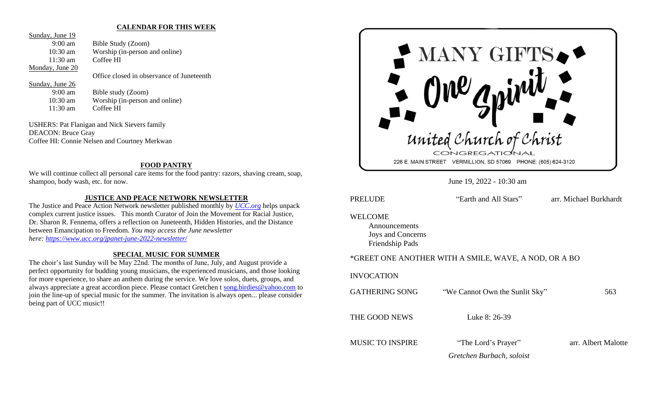#### **CALENDAR FOR THIS WEEK**

Sunday, June 19

9:00 am Bible Study (Zoom) 10:30 am Worship (in-person and online) 11:30 am Coffee HI

Office closed in observance of Juneteenth

#### Sunday, June 26

Monday, June 20

9:00 am Bible study (Zoom) 10:30 am Worship (in-person and online) 11:30 am Coffee HI

USHERS: Pat Flanigan and Nick Sievers family DEACON: Bruce Gray Coffee HI: Connie Nelsen and Courtney Merkwan

## **FOOD PANTRY**

We will continue collect all personal care items for the food pantry: razors, shaving cream, soap, shampoo, body wash, etc. for now.

# **JUSTICE AND PEACE NETWORK NEWSLETTER**

The Justice and Peace Action Network newsletter published monthly by *[UCC.org](http://ucc.org/)* helps unpack complex current justice issues. This month Curator of Join the Movement for Racial Justice, Dr. Sharon R. Fennema, offers a reflection on Juneteenth, Hidden Histories, and the Distance between Emancipation to Freedom*. You may access the June newsletter here: <https://www.ucc.org/jpanet-june-2022-newsletter/>*

### **SPECIAL MUSIC FOR SUMMER**

The choir's last Sunday will be May 22nd. The months of June, July, and August provide a perfect opportunity for budding young musicians, the experienced musicians, and those looking for more experience, to share an anthem during the service. We love solos, duets, groups, and always appreciate a great accordion piece. Please contact Gretchen t [song.birdies@yahoo.com](mailto:song.birdies@yahoo.com) to join the line-up of special music for the summer. The invitation is always open... please consider being part of UCC music!!



June 19, 2022 - 10:30 am

PRELUDE "Earth and All Stars" arr. Michael Burkhardt WELCOME Announcements Joys and Concerns

Friendship Pads

#### \*GREET ONE ANOTHER WITH A SMILE, WAVE, A NOD, OR A BO

#### INVOCATION

| <b>GATHERING SONG</b>   | "We Cannot Own the Sunlit Sky" | 563                 |
|-------------------------|--------------------------------|---------------------|
| THE GOOD NEWS           | Luke 8: 26-39                  |                     |
| <b>MUSIC TO INSPIRE</b> | "The Lord's Prayer"            | arr. Albert Malotte |
|                         | Gretchen Burbach, soloist      |                     |